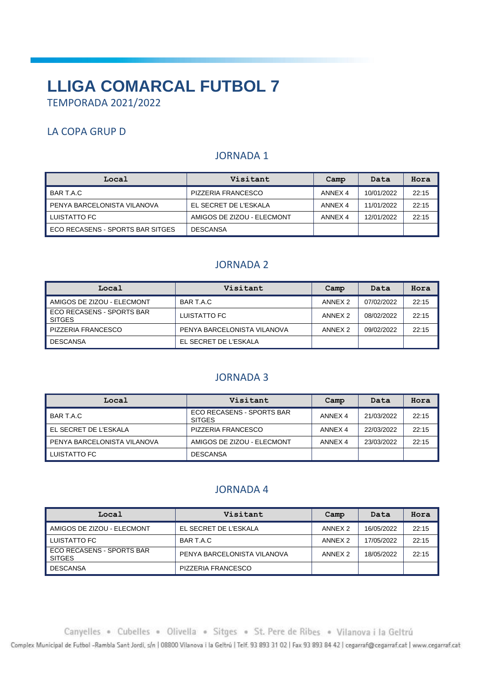# **LLIGA COMARCAL FUTBOL 7** TEMPORADA 2021/2022

# LA COPA GRUP D

# JORNADA 1

| Local                            | Visitant                   | Camp    | Data       | Hora  |
|----------------------------------|----------------------------|---------|------------|-------|
| BAR T.A.C                        | PIZZERIA FRANCESCO         | ANNEX 4 | 10/01/2022 | 22:15 |
| I PENYA BARCELONISTA VILANOVA    | EL SECRET DE L'ESKALA      | ANNEX 4 | 11/01/2022 | 22:15 |
| LUISTATTO FC                     | AMIGOS DE ZIZOU - ELECMONT | ANNEX 4 | 12/01/2022 | 22:15 |
| ECO RECASENS - SPORTS BAR SITGES | <b>DESCANSA</b>            |         |            |       |

## JORNADA 2

| Local                                      | Visitant                    | Camp               | Data       | Hora  |
|--------------------------------------------|-----------------------------|--------------------|------------|-------|
| AMIGOS DE ZIZOU - ELECMONT                 | BAR T.A.C                   | ANNEX <sub>2</sub> | 07/02/2022 | 22:15 |
| ECO RECASENS - SPORTS BAR<br><b>SITGES</b> | LUISTATTO FC                | ANNEX <sub>2</sub> | 08/02/2022 | 22:15 |
| PIZZERIA FRANCESCO                         | PENYA BARCELONISTA VILANOVA | ANNEX <sub>2</sub> | 09/02/2022 | 22:15 |
| <b>DESCANSA</b>                            | EL SECRET DE L'ESKALA       |                    |            |       |

#### JORNADA 3

| Local                       | Visitant                                   | Camp    | Data       | Hora  |
|-----------------------------|--------------------------------------------|---------|------------|-------|
| BAR T.A.C                   | ECO RECASENS - SPORTS BAR<br><b>SITGES</b> | ANNEX 4 | 21/03/2022 | 22:15 |
| EL SECRET DE L'ESKALA       | PIZZERIA FRANCESCO                         | ANNEX 4 | 22/03/2022 | 22:15 |
| PENYA BARCELONISTA VILANOVA | AMIGOS DE ZIZOU - ELECMONT                 | ANNEX 4 | 23/03/2022 | 22:15 |
| LUISTATTO FC                | <b>DESCANSA</b>                            |         |            |       |

#### JORNADA 4

| Local                                      | Visitant                    | Camp               | Data       | Hora  |
|--------------------------------------------|-----------------------------|--------------------|------------|-------|
| AMIGOS DE ZIZOU - ELECMONT                 | EL SECRET DE L'ESKALA       | ANNEX <sub>2</sub> | 16/05/2022 | 22:15 |
| LUISTATTO FC                               | BAR T.A.C                   | ANNEX <sub>2</sub> | 17/05/2022 | 22:15 |
| ECO RECASENS - SPORTS BAR<br><b>SITGES</b> | PENYA BARCELONISTA VILANOVA | ANNEX <sub>2</sub> | 18/05/2022 | 22:15 |
| <b>DESCANSA</b>                            | PIZZERIA FRANCESCO          |                    |            |       |

Canyelles . Cubelles . Olivella . Sitges . St. Pere de Ribes . Vilanova i la Geltrú

Complex Municipal de Futbol -Rambla Sant Jordi, s/n | 08800 Vilanova i la Geltrú | Telf. 93 893 31 02 | Fax 93 893 84 42 | cegarraf@cegarraf.cat | www.cegarraf.cat